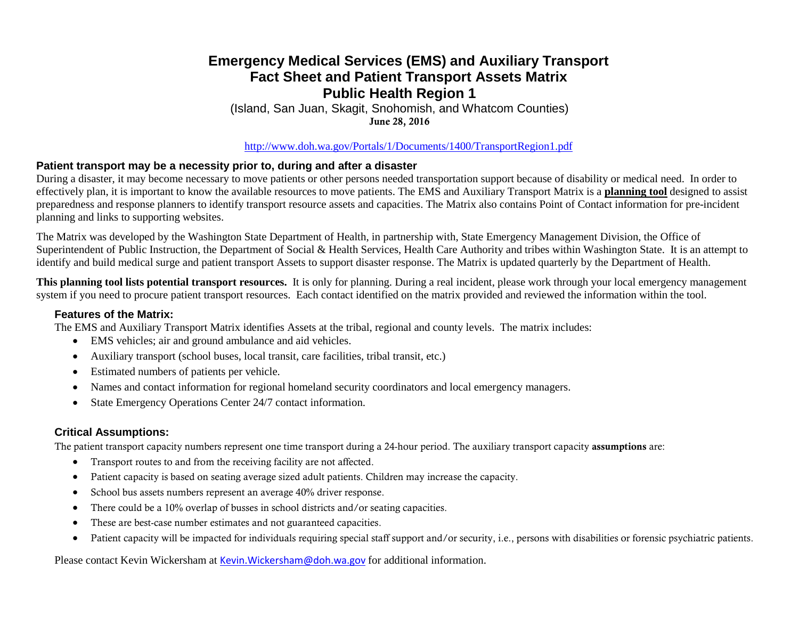## **Emergency Medical Services (EMS) and Auxiliary Transport Fact Sheet and Patient Transport Assets Matrix Public Health Region 1**

(Island, San Juan, Skagit, Snohomish, and Whatcom Counties) June 28, 2016

<http://www.doh.wa.gov/Portals/1/Documents/1400/TransportRegion1.pdf>

#### **Patient transport may be a necessity prior to, during and after a disaster**

During a disaster, it may become necessary to move patients or other persons needed transportation support because of disability or medical need. In order to effectively plan, it is important to know the available resources to move patients. The EMS and Auxiliary Transport Matrix is a **planning tool** designed to assist preparedness and response planners to identify transport resource assets and capacities. The Matrix also contains Point of Contact information for pre-incident planning and links to supporting websites.

The Matrix was developed by the Washington State Department of Health, in partnership with, State Emergency Management Division, the Office of Superintendent of Public Instruction, the Department of Social & Health Services, Health Care Authority and tribes within Washington State. It is an attempt to identify and build medical surge and patient transport Assets to support disaster response. The Matrix is updated quarterly by the Department of Health.

**This planning tool lists potential transport resources.** It is only for planning. During a real incident, please work through your local emergency management system if you need to procure patient transport resources. Each contact identified on the matrix provided and reviewed the information within the tool.

#### **Features of the Matrix:**

The EMS and Auxiliary Transport Matrix identifies Assets at the tribal, regional and county levels. The matrix includes:

- EMS vehicles; air and ground ambulance and aid vehicles.
- Auxiliary transport (school buses, local transit, care facilities, tribal transit, etc.)
- Estimated numbers of patients per vehicle.
- Names and contact information for regional homeland security coordinators and local emergency managers.
- State Emergency Operations Center 24/7 contact information.

### **Critical Assumptions:**

The patient transport capacity numbers represent one time transport during a 24-hour period. The auxiliary transport capacity assumptions are:

- Transport routes to and from the receiving facility are not affected.
- Patient capacity is based on seating average sized adult patients. Children may increase the capacity.
- School bus assets numbers represent an average 40% driver response.
- There could be a 10% overlap of busses in school districts and/or seating capacities.
- These are best-case number estimates and not guaranteed capacities.
- Patient capacity will be impacted for individuals requiring special staff support and/or security, i.e., persons with disabilities or forensic psychiatric patients.

Please contact Kevin Wickersham at [Kevin.Wickersham@doh.wa.gov](mailto:Kevin.Wickersham@doh.wa.gov) for additional information.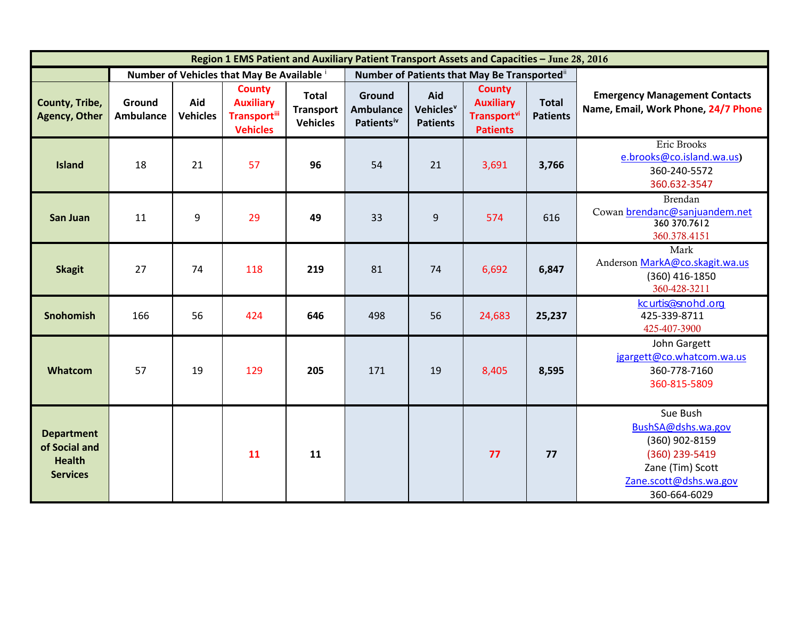| Region 1 EMS Patient and Auxiliary Patient Transport Assets and Capacities - June 28, 2016 |                                          |                        |                                                                              |                                                     |                                                      |                                                 |                                                                                        |                                 |                                                                                                                                  |
|--------------------------------------------------------------------------------------------|------------------------------------------|------------------------|------------------------------------------------------------------------------|-----------------------------------------------------|------------------------------------------------------|-------------------------------------------------|----------------------------------------------------------------------------------------|---------------------------------|----------------------------------------------------------------------------------------------------------------------------------|
|                                                                                            | Number of Vehicles that May Be Available |                        |                                                                              |                                                     | Number of Patients that May Be Transported"          |                                                 |                                                                                        |                                 |                                                                                                                                  |
| County, Tribe,<br><b>Agency, Other</b>                                                     | Ground<br><b>Ambulance</b>               | Aid<br><b>Vehicles</b> | <b>County</b><br><b>Auxiliary</b><br><b>Transport</b> iii<br><b>Vehicles</b> | <b>Total</b><br><b>Transport</b><br><b>Vehicles</b> | Ground<br><b>Ambulance</b><br>Patients <sup>iv</sup> | Aid<br>Vehicles <sup>v</sup><br><b>Patients</b> | <b>County</b><br><b>Auxiliary</b><br><b>Transport</b> <sup>vi</sup><br><b>Patients</b> | <b>Total</b><br><b>Patients</b> | <b>Emergency Management Contacts</b><br>Name, Email, Work Phone, 24/7 Phone                                                      |
| <b>Island</b>                                                                              | 18                                       | 21                     | 57                                                                           | 96                                                  | 54                                                   | 21                                              | 3,691                                                                                  | 3,766                           | Eric Brooks<br>e.brooks@co.island.wa.us)<br>360-240-5572<br>360.632-3547                                                         |
| <b>San Juan</b>                                                                            | 11                                       | 9                      | 29                                                                           | 49                                                  | 33                                                   | 9                                               | 574                                                                                    | 616                             | Brendan<br>Cowan brendanc@sanjuandem.net<br>360 370.7612<br>360.378.4151                                                         |
| <b>Skagit</b>                                                                              | 27                                       | 74                     | 118                                                                          | 219                                                 | 81                                                   | 74                                              | 6,692                                                                                  | 6,847                           | Mark<br>Anderson MarkA@co.skagit.wa.us<br>$(360)$ 416-1850<br>360-428-3211                                                       |
| <b>Snohomish</b>                                                                           | 166                                      | 56                     | 424                                                                          | 646                                                 | 498                                                  | 56                                              | 24,683                                                                                 | 25,237                          | kcurtis@snohd.org<br>425-339-8711<br>425-407-3900                                                                                |
| Whatcom                                                                                    | 57                                       | 19                     | 129                                                                          | 205                                                 | 171                                                  | 19                                              | 8,405                                                                                  | 8,595                           | John Gargett<br>jgargett@co.whatcom.wa.us<br>360-778-7160<br>360-815-5809                                                        |
| <b>Department</b><br>of Social and<br><b>Health</b><br><b>Services</b>                     |                                          |                        | 11                                                                           | 11                                                  |                                                      |                                                 | 77                                                                                     | 77                              | Sue Bush<br>BushSA@dshs.wa.gov<br>(360) 902-8159<br>(360) 239-5419<br>Zane (Tim) Scott<br>Zane.scott@dshs.wa.gov<br>360-664-6029 |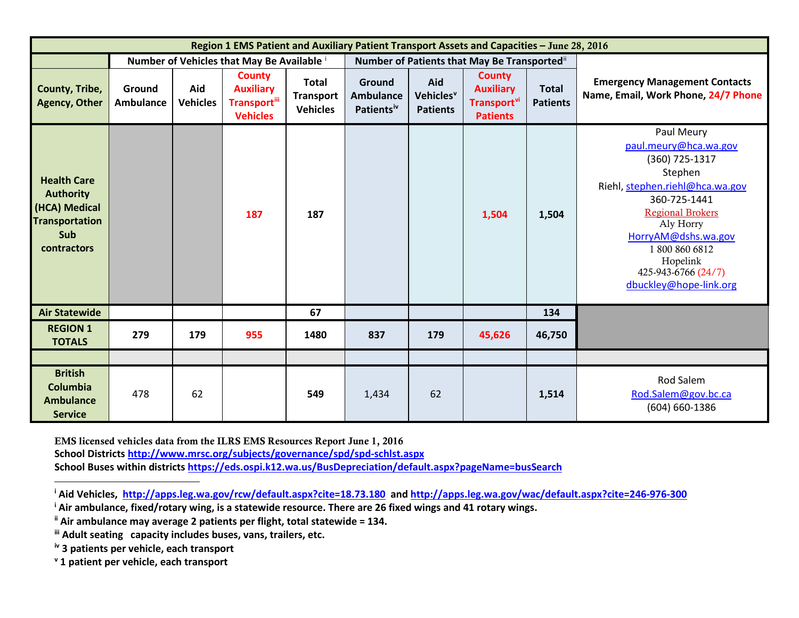<span id="page-2-4"></span><span id="page-2-3"></span><span id="page-2-2"></span><span id="page-2-1"></span><span id="page-2-0"></span>

| Region 1 EMS Patient and Auxiliary Patient Transport Assets and Capacities - June 28, 2016             |                                            |                        |                                                                              |                                                     |                                                      |                                                 |                                                                                 |                                 |                                                                                                                                                                                                                                                                |  |
|--------------------------------------------------------------------------------------------------------|--------------------------------------------|------------------------|------------------------------------------------------------------------------|-----------------------------------------------------|------------------------------------------------------|-------------------------------------------------|---------------------------------------------------------------------------------|---------------------------------|----------------------------------------------------------------------------------------------------------------------------------------------------------------------------------------------------------------------------------------------------------------|--|
|                                                                                                        | Number of Vehicles that May Be Available i |                        |                                                                              |                                                     | Number of Patients that May Be Transported"          |                                                 |                                                                                 |                                 |                                                                                                                                                                                                                                                                |  |
| County, Tribe,<br><b>Agency, Other</b>                                                                 | Ground<br><b>Ambulance</b>                 | Aid<br><b>Vehicles</b> | <b>County</b><br><b>Auxiliary</b><br><b>Transport</b> iii<br><b>Vehicles</b> | <b>Total</b><br><b>Transport</b><br><b>Vehicles</b> | Ground<br><b>Ambulance</b><br>Patients <sup>iv</sup> | Aid<br>Vehicles <sup>v</sup><br><b>Patients</b> | <b>County</b><br><b>Auxiliary</b><br>Transport <sup>vi</sup><br><b>Patients</b> | <b>Total</b><br><b>Patients</b> | <b>Emergency Management Contacts</b><br>Name, Email, Work Phone, 24/7 Phone                                                                                                                                                                                    |  |
| <b>Health Care</b><br><b>Authority</b><br>(HCA) Medical<br><b>Transportation</b><br>Sub<br>contractors |                                            |                        | 187                                                                          | 187                                                 |                                                      |                                                 | 1,504                                                                           | 1,504                           | Paul Meury<br>paul.meury@hca.wa.gov<br>(360) 725-1317<br>Stephen<br>Riehl, stephen.riehl@hca.wa.gov<br>360-725-1441<br><b>Regional Brokers</b><br>Aly Horry<br>HorryAM@dshs.wa.gov<br>18008606812<br>Hopelink<br>425-943-6766 (24/7)<br>dbuckley@hope-link.org |  |
| <b>Air Statewide</b>                                                                                   |                                            |                        |                                                                              | 67                                                  |                                                      |                                                 |                                                                                 | 134                             |                                                                                                                                                                                                                                                                |  |
| <b>REGION 1</b><br><b>TOTALS</b>                                                                       | 279                                        | 179                    | 955                                                                          | 1480                                                | 837                                                  | 179                                             | 45,626                                                                          | 46,750                          |                                                                                                                                                                                                                                                                |  |
|                                                                                                        |                                            |                        |                                                                              |                                                     |                                                      |                                                 |                                                                                 |                                 |                                                                                                                                                                                                                                                                |  |
| <b>British</b><br>Columbia<br><b>Ambulance</b><br><b>Service</b>                                       | 478                                        | 62                     |                                                                              | 549                                                 | 1,434                                                | 62                                              |                                                                                 | 1,514                           | <b>Rod Salem</b><br>Rod.Salem@gov.bc.ca<br>(604) 660-1386                                                                                                                                                                                                      |  |

EMS licensed vehicles data from the ILRS EMS Resources Report June 1, 2016 **School District[s http://www.mrsc.org/subjects/governance/spd/spd-schlst.aspx](http://www.mrsc.org/subjects/governance/spd/spd-schlst.aspx) School Buses within districts<https://eds.ospi.k12.wa.us/BusDepreciation/default.aspx?pageName=busSearch>**

**<sup>i</sup> Aid Vehicles,<http://apps.leg.wa.gov/rcw/default.aspx?cite=18.73.180>and<http://apps.leg.wa.gov/wac/default.aspx?cite=246-976-300>**

**<sup>i</sup> Air ambulance, fixed/rotary wing, is a statewide resource. There are 26 fixed wings and 41 rotary wings.**

**ii Air ambulance may average 2 patients per flight, total statewide = 134.**

**iii Adult seating capacity includes buses, vans, trailers, etc.**

**iv 3 patients per vehicle, each transport**

**<sup>v</sup> 1 patient per vehicle, each transport**

 $\overline{a}$